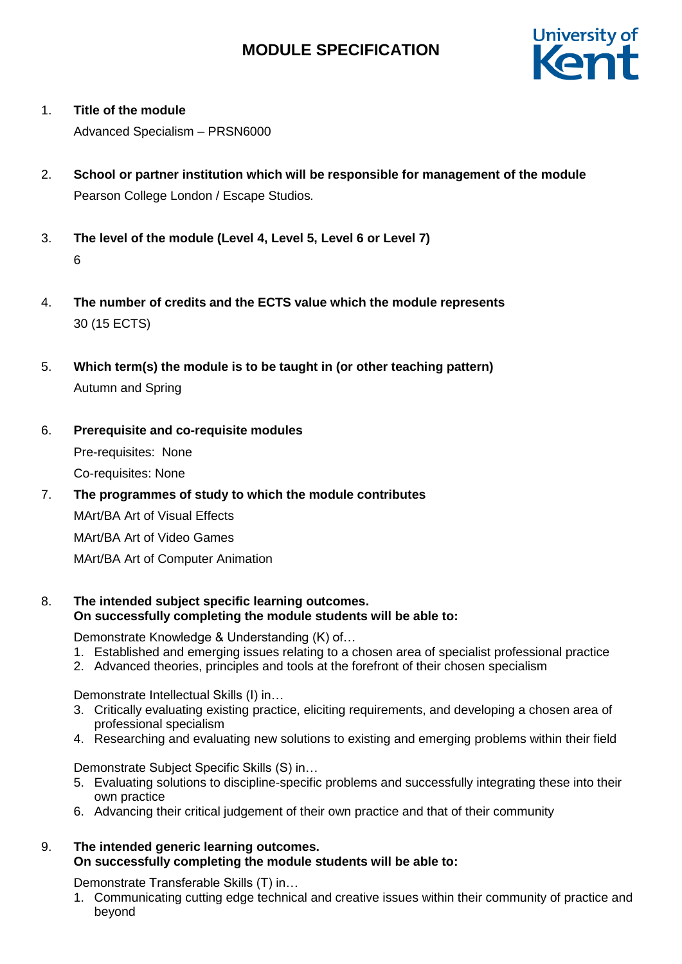

## 1. **Title of the module**

Advanced Specialism – PRSN6000

- 2. **School or partner institution which will be responsible for management of the module** Pearson College London / Escape Studios*.*
- 3. **The level of the module (Level 4, Level 5, Level 6 or Level 7)** 6
- 4. **The number of credits and the ECTS value which the module represents**  30 (15 ECTS)
- 5. **Which term(s) the module is to be taught in (or other teaching pattern)** Autumn and Spring
- 6. **Prerequisite and co-requisite modules**

Pre-requisites: None

Co-requisites: None

# 7. **The programmes of study to which the module contributes**

MArt/BA Art of Visual Effects

MArt/BA Art of Video Games

MArt/BA Art of Computer Animation

## 8. **The intended subject specific learning outcomes. On successfully completing the module students will be able to:**

Demonstrate Knowledge & Understanding (K) of…

- 1. Established and emerging issues relating to a chosen area of specialist professional practice
- 2. Advanced theories, principles and tools at the forefront of their chosen specialism

Demonstrate Intellectual Skills (I) in…

- 3. Critically evaluating existing practice, eliciting requirements, and developing a chosen area of professional specialism
- 4. Researching and evaluating new solutions to existing and emerging problems within their field

Demonstrate Subject Specific Skills (S) in…

- 5. Evaluating solutions to discipline-specific problems and successfully integrating these into their own practice
- 6. Advancing their critical judgement of their own practice and that of their community

## 9. **The intended generic learning outcomes. On successfully completing the module students will be able to:**

Demonstrate Transferable Skills (T) in…

1. Communicating cutting edge technical and creative issues within their community of practice and beyond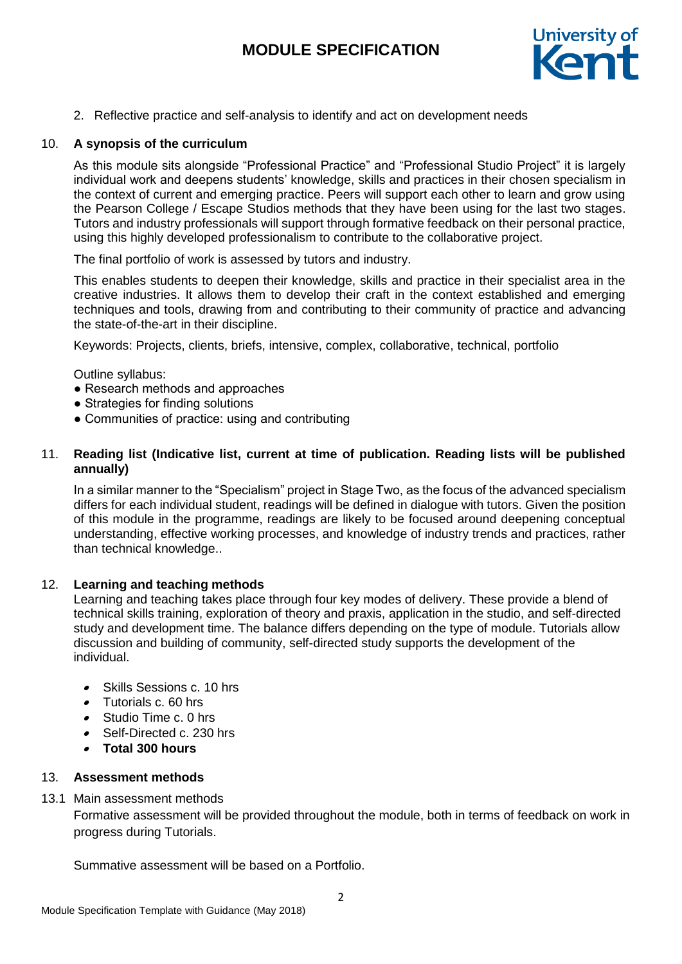

2. Reflective practice and self-analysis to identify and act on development needs

## 10. **A synopsis of the curriculum**

As this module sits alongside "Professional Practice" and "Professional Studio Project" it is largely individual work and deepens students' knowledge, skills and practices in their chosen specialism in the context of current and emerging practice. Peers will support each other to learn and grow using the Pearson College / Escape Studios methods that they have been using for the last two stages. Tutors and industry professionals will support through formative feedback on their personal practice, using this highly developed professionalism to contribute to the collaborative project.

The final portfolio of work is assessed by tutors and industry.

This enables students to deepen their knowledge, skills and practice in their specialist area in the creative industries. It allows them to develop their craft in the context established and emerging techniques and tools, drawing from and contributing to their community of practice and advancing the state-of-the-art in their discipline.

Keywords: Projects, clients, briefs, intensive, complex, collaborative, technical, portfolio

Outline syllabus:

- Research methods and approaches
- Strategies for finding solutions
- Communities of practice: using and contributing

## 11. **Reading list (Indicative list, current at time of publication. Reading lists will be published annually)**

In a similar manner to the "Specialism" project in Stage Two, as the focus of the advanced specialism differs for each individual student, readings will be defined in dialogue with tutors. Given the position of this module in the programme, readings are likely to be focused around deepening conceptual understanding, effective working processes, and knowledge of industry trends and practices, rather than technical knowledge..

## 12. **Learning and teaching methods**

Learning and teaching takes place through four key modes of delivery. These provide a blend of technical skills training, exploration of theory and praxis, application in the studio, and self-directed study and development time. The balance differs depending on the type of module. Tutorials allow discussion and building of community, self-directed study supports the development of the individual.

- Skills Sessions c. 10 hrs
- Tutorials c. 60 hrs
- Studio Time c. 0 hrs
- Self-Directed c. 230 hrs
- **Total 300 hours**

## 13. **Assessment methods**

## 13.1 Main assessment methods

Formative assessment will be provided throughout the module, both in terms of feedback on work in progress during Tutorials.

Summative assessment will be based on a Portfolio.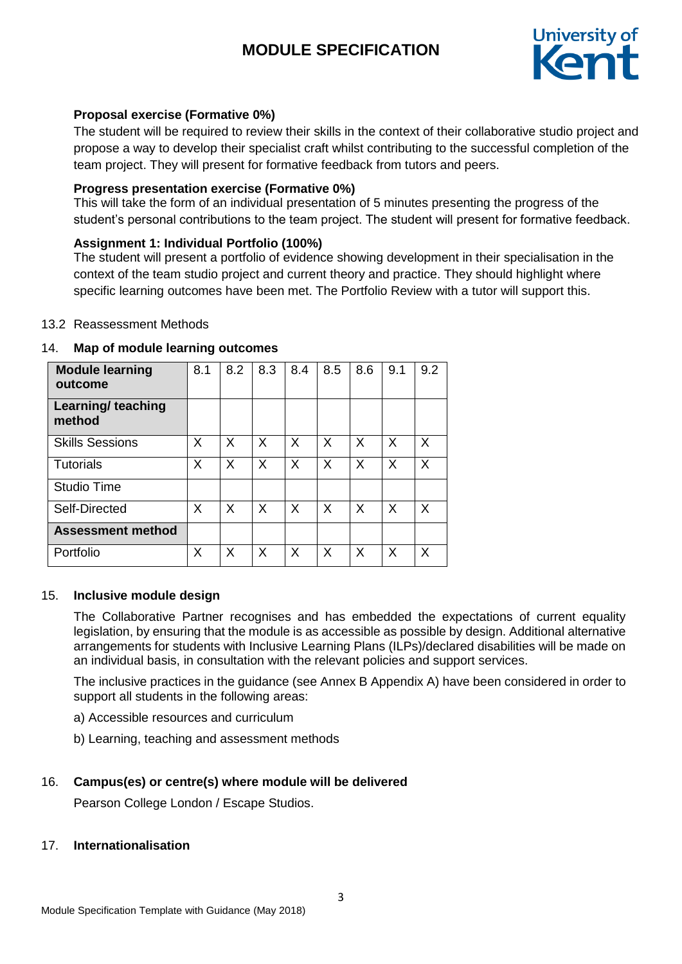

# **Proposal exercise (Formative 0%)**

The student will be required to review their skills in the context of their collaborative studio project and propose a way to develop their specialist craft whilst contributing to the successful completion of the team project. They will present for formative feedback from tutors and peers.

# **Progress presentation exercise (Formative 0%)**

This will take the form of an individual presentation of 5 minutes presenting the progress of the student's personal contributions to the team project. The student will present for formative feedback.

# **Assignment 1: Individual Portfolio (100%)**

The student will present a portfolio of evidence showing development in their specialisation in the context of the team studio project and current theory and practice. They should highlight where specific learning outcomes have been met. The Portfolio Review with a tutor will support this.

# 13.2 Reassessment Methods

# 14. **Map of module learning outcomes**

| <b>Module learning</b><br>outcome | 8.1 | 8.2 | 8.3      | 8.4      | 8.5 | 8.6 | 9.1 | 9.2 |
|-----------------------------------|-----|-----|----------|----------|-----|-----|-----|-----|
| Learning/ teaching<br>method      |     |     |          |          |     |     |     |     |
| <b>Skills Sessions</b>            | X   | X   | $\times$ | $\times$ | X   | X   | X   | X   |
| <b>Tutorials</b>                  | X   | X   | X        | $\times$ | X   | X   | X   | X   |
| <b>Studio Time</b>                |     |     |          |          |     |     |     |     |
| Self-Directed                     | X   | X   | X        | X        | X   | X   | X   | x   |
| <b>Assessment method</b>          |     |     |          |          |     |     |     |     |
| Portfolio                         | Х   | X   | X        | X        | Х   | Х   | Х   |     |

## 15. **Inclusive module design**

The Collaborative Partner recognises and has embedded the expectations of current equality legislation, by ensuring that the module is as accessible as possible by design. Additional alternative arrangements for students with Inclusive Learning Plans (ILPs)/declared disabilities will be made on an individual basis, in consultation with the relevant policies and support services.

The inclusive practices in the guidance (see Annex B Appendix A) have been considered in order to support all students in the following areas:

- a) Accessible resources and curriculum
- b) Learning, teaching and assessment methods

# 16. **Campus(es) or centre(s) where module will be delivered**

Pearson College London / Escape Studios.

## 17. **Internationalisation**